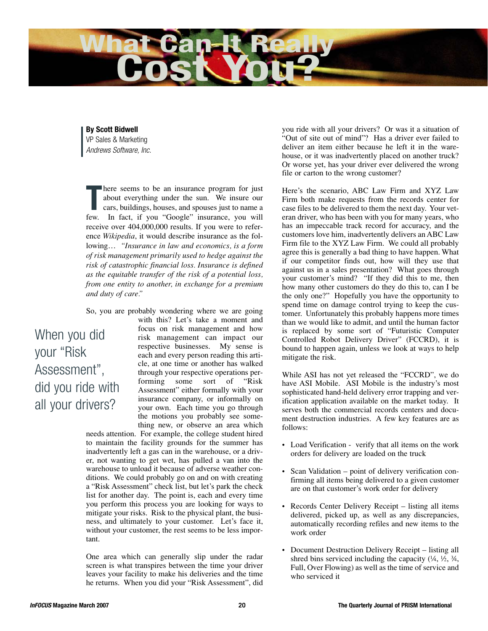

**By Scott Bidwell** VP Sales & Marketing Andrews Software, Inc.

There seems to be an insurance program for just about everything under the sun. We insure our cars, buildings, houses, and spouses just to name a few. In fact, if you "Google" insurance, you will here seems to be an insurance program for just about everything under the sun. We insure our cars, buildings, houses, and spouses just to name a receive over 404,000,000 results. If you were to reference *Wikipedia*, it would describe insurance as the following… *"Insurance in law and economics, is a form of risk management primarily used to hedge against the risk of catastrophic financial loss. Insurance is defined as the equitable transfer of the risk of a potential loss, from one entity to another, in exchange for a premium and duty of care."* 

So, you are probably wondering where we are going

When you did your "Risk Assessment", did you ride with all your drivers?

with this? Let's take a moment and focus on risk management and how risk management can impact our respective businesses. My sense is each and every person reading this article, at one time or another has walked through your respective operations performing some sort of "Risk Assessment" either formally with your insurance company, or informally on your own. Each time you go through the motions you probably see something new, or observe an area which

needs attention. For example, the college student hired to maintain the facility grounds for the summer has inadvertently left a gas can in the warehouse, or a driver, not wanting to get wet, has pulled a van into the warehouse to unload it because of adverse weather conditions. We could probably go on and on with creating a "Risk Assessment" check list, but let's park the check list for another day. The point is, each and every time you perform this process you are looking for ways to mitigate your risks. Risk to the physical plant, the business, and ultimately to your customer. Let's face it, without your customer, the rest seems to be less important.

One area which can generally slip under the radar screen is what transpires between the time your driver leaves your facility to make his deliveries and the time he returns. When you did your "Risk Assessment", did you ride with all your drivers? Or was it a situation of "Out of site out of mind"? Has a driver ever failed to deliver an item either because he left it in the warehouse, or it was inadvertently placed on another truck? Or worse yet, has your driver ever delivered the wrong file or carton to the wrong customer?

Here's the scenario, ABC Law Firm and XYZ Law Firm both make requests from the records center for case files to be delivered to them the next day. Your veteran driver, who has been with you for many years, who has an impeccable track record for accuracy, and the customers love him, inadvertently delivers an ABC Law Firm file to the XYZ Law Firm. We could all probably agree this is generally a bad thing to have happen. What if our competitor finds out, how will they use that against us in a sales presentation? What goes through your customer's mind? "If they did this to me, then how many other customers do they do this to, can I be the only one?" Hopefully you have the opportunity to spend time on damage control trying to keep the customer. Unfortunately this probably happens more times than we would like to admit, and until the human factor is replaced by some sort of "Futuristic Computer Controlled Robot Delivery Driver" (FCCRD), it is bound to happen again, unless we look at ways to help mitigate the risk.

While ASI has not yet released the "FCCRD", we do have ASI Mobile. ASI Mobile is the industry's most sophisticated hand-held delivery error trapping and verification application available on the market today. It serves both the commercial records centers and document destruction industries. A few key features are as follows:

- Load Verification verify that all items on the work orders for delivery are loaded on the truck
- Scan Validation point of delivery verification confirming all items being delivered to a given customer are on that customer's work order for delivery
- Records Center Delivery Receipt listing all items delivered, picked up, as well as any discrepancies, automatically recording refiles and new items to the work order
- Document Destruction Delivery Receipt listing all shred bins serviced including the capacity  $(\frac{1}{4}, \frac{1}{2}, \frac{3}{4})$ , Full, Over Flowing) as well as the time of service and who serviced it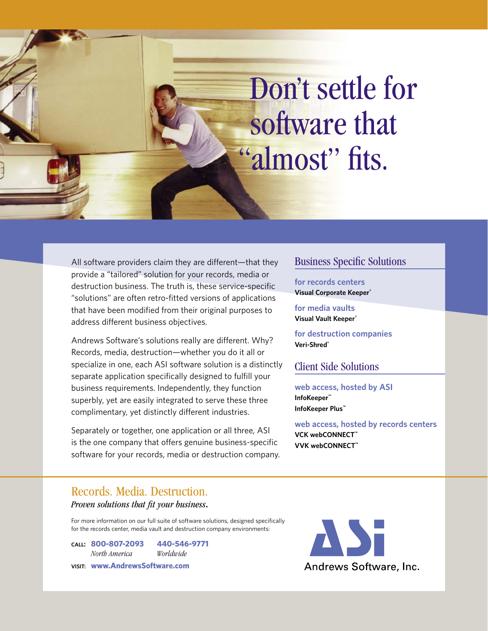# Don't settle for software that "almost" fits.

All software providers claim they are different—that they provide a "tailored" solution for your records, media or destruction business. The truth is, these service-specific "solutions" are often retro-fitted versions of applications that have been modified from their original purposes to address different business objectives.

Andrews Software's solutions really are different. Why? Records, media, destruction—whether you do it all or specialize in one, each ASI software solution is a distinctly separate application specifically designed to fulfill your business requirements. Independently, they function superbly, yet are easily integrated to serve these three complimentary, yet distinctly different industries.

Separately or together, one application or all three, ASI is the one company that offers genuine business-specific software for your records, media or destruction company.

## Business Specific Solutions

**for records centers Visual Corporate Keeper®**

**for media vaults Visual Vault Keeper®**

**for destruction companies Veri-Shred®**

### Client Side Solutions

**web access, hosted by ASI InfoKeeper™ InfoKeeper Plus™**

**web access, hosted by records centers VCK webCONNECT™ VVK webCONNECT™** 

# Records. Media. Destruction.

#### *Proven solutions that fit your business*.

For more information on our full suite of software solutions, designed specifically for the records center, media vault and destruction company environments:

**CALL: 800-807-2093 440-546-9771** *North America Worldwide*

**VISIT: www.AndrewsSoftware.com**